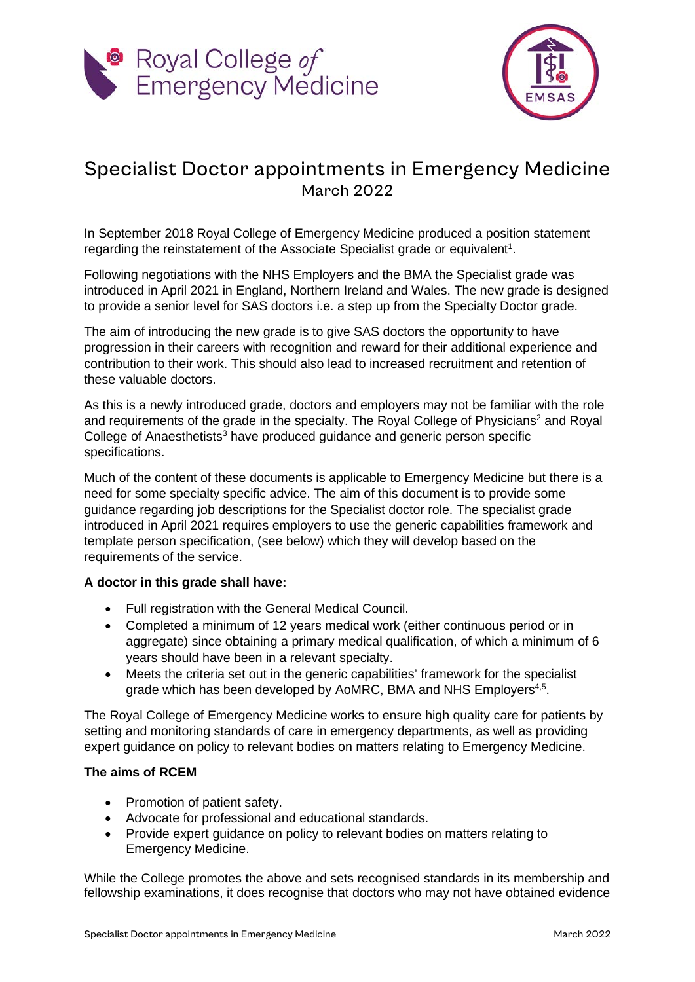



# Specialist Doctor appointments in Emergency Medicine March 2022

In September 2018 Royal College of Emergency Medicine produced a position statement regarding the reinstatement of the Associate Specialist grade or equivalent<sup>1</sup>.

Following negotiations with the NHS Employers and the BMA the Specialist grade was introduced in April 2021 in England, Northern Ireland and Wales. The new grade is designed to provide a senior level for SAS doctors i.e. a step up from the Specialty Doctor grade.

The aim of introducing the new grade is to give SAS doctors the opportunity to have progression in their careers with recognition and reward for their additional experience and contribution to their work. This should also lead to increased recruitment and retention of these valuable doctors.

As this is a newly introduced grade, doctors and employers may not be familiar with the role and requirements of the grade in the specialty. The Royal College of Physicians<sup>2</sup> and Royal College of Anaesthetists<sup>3</sup> have produced guidance and generic person specific specifications.

Much of the content of these documents is applicable to Emergency Medicine but there is a need for some specialty specific advice. The aim of this document is to provide some guidance regarding job descriptions for the Specialist doctor role. The specialist grade introduced in April 2021 requires employers to use the generic capabilities framework and template person specification, (see below) which they will develop based on the requirements of the service.

# **A doctor in this grade shall have:**

- Full registration with the General Medical Council.
- Completed a minimum of 12 years medical work (either continuous period or in aggregate) since obtaining a primary medical qualification, of which a minimum of 6 years should have been in a relevant specialty.
- Meets the criteria set out in the generic capabilities' framework for the specialist grade which has been developed by AoMRC, BMA and NHS Employers<sup>4,5</sup>.

The Royal College of Emergency Medicine works to ensure high quality care for patients by setting and monitoring standards of care in emergency departments, as well as providing expert guidance on policy to relevant bodies on matters relating to Emergency Medicine.

# **The aims of RCEM**

- Promotion of patient safety.
- Advocate for professional and educational standards.
- Provide expert guidance on policy to relevant bodies on matters relating to Emergency Medicine.

While the College promotes the above and sets recognised standards in its membership and fellowship examinations, it does recognise that doctors who may not have obtained evidence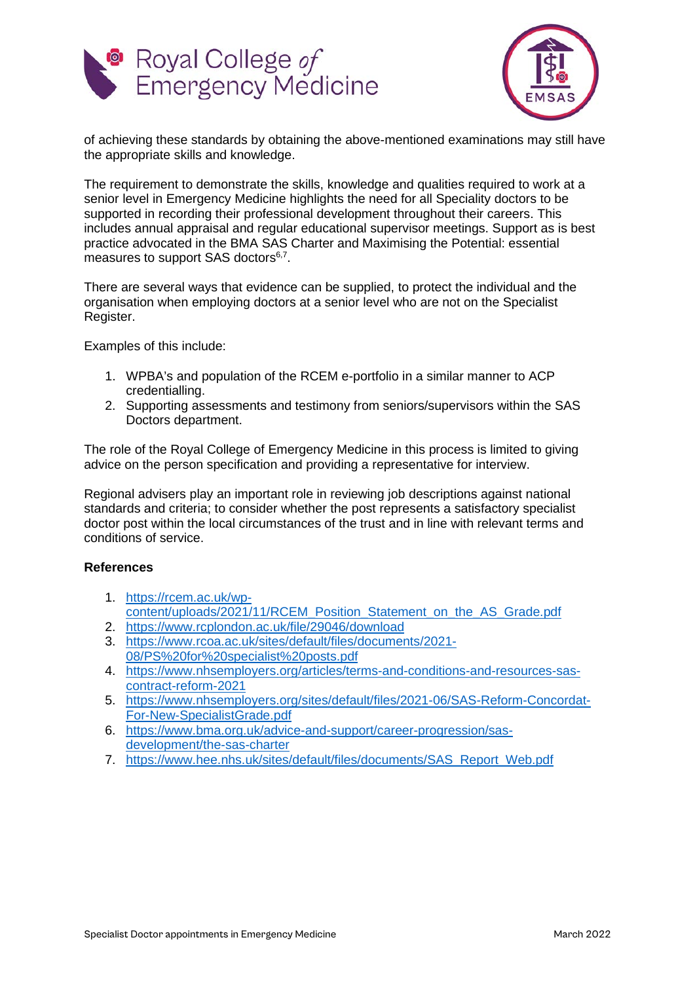



of achieving these standards by obtaining the above-mentioned examinations may still have the appropriate skills and knowledge.

The requirement to demonstrate the skills, knowledge and qualities required to work at a senior level in Emergency Medicine highlights the need for all Speciality doctors to be supported in recording their professional development throughout their careers. This includes annual appraisal and regular educational supervisor meetings. Support as is best practice advocated in the BMA SAS Charter and Maximising the Potential: essential measures to support SAS doctors<sup>6,7</sup>.

There are several ways that evidence can be supplied, to protect the individual and the organisation when employing doctors at a senior level who are not on the Specialist Register.

Examples of this include:

- 1. WPBA's and population of the RCEM e-portfolio in a similar manner to ACP credentialling.
- 2. Supporting assessments and testimony from seniors/supervisors within the SAS Doctors department.

The role of the Royal College of Emergency Medicine in this process is limited to giving advice on the person specification and providing a representative for interview.

Regional advisers play an important role in reviewing job descriptions against national standards and criteria; to consider whether the post represents a satisfactory specialist doctor post within the local circumstances of the trust and in line with relevant terms and conditions of service.

# **References**

- 1. [https://rcem.ac.uk/wp](https://rcem.ac.uk/wp-content/uploads/2021/11/RCEM_Position_Statement_on_the_AS_Grade.pdf)[content/uploads/2021/11/RCEM\\_Position\\_Statement\\_on\\_the\\_AS\\_Grade.pdf](https://rcem.ac.uk/wp-content/uploads/2021/11/RCEM_Position_Statement_on_the_AS_Grade.pdf)
- 2. <https://www.rcplondon.ac.uk/file/29046/download>
- 3. [https://www.rcoa.ac.uk/sites/default/files/documents/2021-](https://www.rcoa.ac.uk/sites/default/files/documents/2021-08/PS%20for%20specialist%20posts.pdf) [08/PS%20for%20specialist%20posts.pdf](https://www.rcoa.ac.uk/sites/default/files/documents/2021-08/PS%20for%20specialist%20posts.pdf)
- 4. [https://www.nhsemployers.org/articles/terms-and-conditions-and-resources-sas](https://www.nhsemployers.org/articles/terms-and-conditions-and-resources-sas-contract-reform-2021)[contract-reform-2021](https://www.nhsemployers.org/articles/terms-and-conditions-and-resources-sas-contract-reform-2021)
- 5. [https://www.nhsemployers.org/sites/default/files/2021-06/SAS-Reform-Concordat-](https://www.nhsemployers.org/sites/default/files/2021-06/SAS-Reform-Concordat-For-New-SpecialistGrade.pdf)[For-New-SpecialistGrade.pdf](https://www.nhsemployers.org/sites/default/files/2021-06/SAS-Reform-Concordat-For-New-SpecialistGrade.pdf)
- 6. [https://www.bma.org.uk/advice-and-support/career-progression/sas](https://www.bma.org.uk/advice-and-support/career-progression/sas-development/the-sas-charter)[development/the-sas-charter](https://www.bma.org.uk/advice-and-support/career-progression/sas-development/the-sas-charter)
- 7. [https://www.hee.nhs.uk/sites/default/files/documents/SAS\\_Report\\_Web.pdf](https://www.hee.nhs.uk/sites/default/files/documents/SAS_Report_Web.pdf)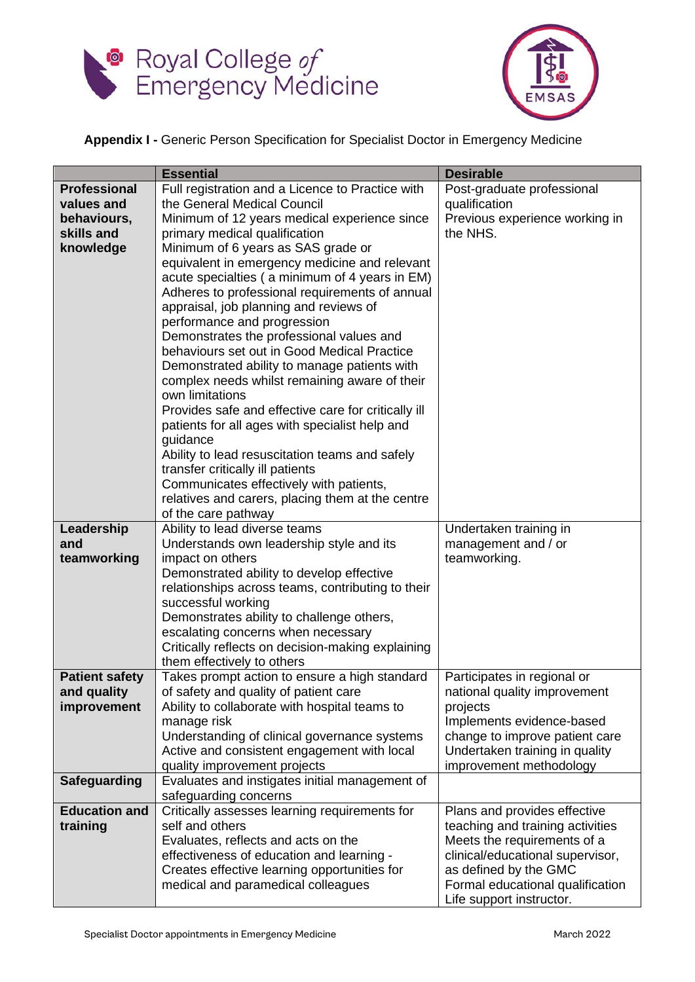



# **Appendix I -** Generic Person Specification for Specialist Doctor in Emergency Medicine

|                       | <b>Essential</b>                                             | <b>Desirable</b>                                            |
|-----------------------|--------------------------------------------------------------|-------------------------------------------------------------|
| <b>Professional</b>   | Full registration and a Licence to Practice with             | Post-graduate professional                                  |
| values and            | the General Medical Council                                  | qualification                                               |
| behaviours,           | Minimum of 12 years medical experience since                 | Previous experience working in                              |
| skills and            | primary medical qualification                                | the NHS.                                                    |
| knowledge             | Minimum of 6 years as SAS grade or                           |                                                             |
|                       | equivalent in emergency medicine and relevant                |                                                             |
|                       | acute specialties (a minimum of 4 years in EM)               |                                                             |
|                       | Adheres to professional requirements of annual               |                                                             |
|                       | appraisal, job planning and reviews of                       |                                                             |
|                       | performance and progression                                  |                                                             |
|                       | Demonstrates the professional values and                     |                                                             |
|                       | behaviours set out in Good Medical Practice                  |                                                             |
|                       | Demonstrated ability to manage patients with                 |                                                             |
|                       | complex needs whilst remaining aware of their                |                                                             |
|                       | own limitations                                              |                                                             |
|                       | Provides safe and effective care for critically ill          |                                                             |
|                       | patients for all ages with specialist help and<br>guidance   |                                                             |
|                       | Ability to lead resuscitation teams and safely               |                                                             |
|                       | transfer critically ill patients                             |                                                             |
|                       | Communicates effectively with patients,                      |                                                             |
|                       | relatives and carers, placing them at the centre             |                                                             |
|                       | of the care pathway                                          |                                                             |
| Leadership            | Ability to lead diverse teams                                | Undertaken training in                                      |
| and                   | Understands own leadership style and its                     | management and / or                                         |
| teamworking           | impact on others                                             | teamworking.                                                |
|                       | Demonstrated ability to develop effective                    |                                                             |
|                       | relationships across teams, contributing to their            |                                                             |
|                       | successful working                                           |                                                             |
|                       | Demonstrates ability to challenge others,                    |                                                             |
|                       | escalating concerns when necessary                           |                                                             |
|                       | Critically reflects on decision-making explaining            |                                                             |
|                       | them effectively to others                                   |                                                             |
| <b>Patient safety</b> | Takes prompt action to ensure a high standard                | Participates in regional or                                 |
| and quality           | of safety and quality of patient care                        | national quality improvement                                |
| improvement           | Ability to collaborate with hospital teams to<br>manage risk | projects                                                    |
|                       | Understanding of clinical governance systems                 | Implements evidence-based<br>change to improve patient care |
|                       | Active and consistent engagement with local                  | Undertaken training in quality                              |
|                       | quality improvement projects                                 | improvement methodology                                     |
| <b>Safeguarding</b>   | Evaluates and instigates initial management of               |                                                             |
|                       | safeguarding concerns                                        |                                                             |
| <b>Education and</b>  | Critically assesses learning requirements for                | Plans and provides effective                                |
| training              | self and others                                              | teaching and training activities                            |
|                       | Evaluates, reflects and acts on the                          | Meets the requirements of a                                 |
|                       | effectiveness of education and learning -                    | clinical/educational supervisor,                            |
|                       | Creates effective learning opportunities for                 | as defined by the GMC                                       |
|                       | medical and paramedical colleagues                           | Formal educational qualification                            |
|                       |                                                              | Life support instructor.                                    |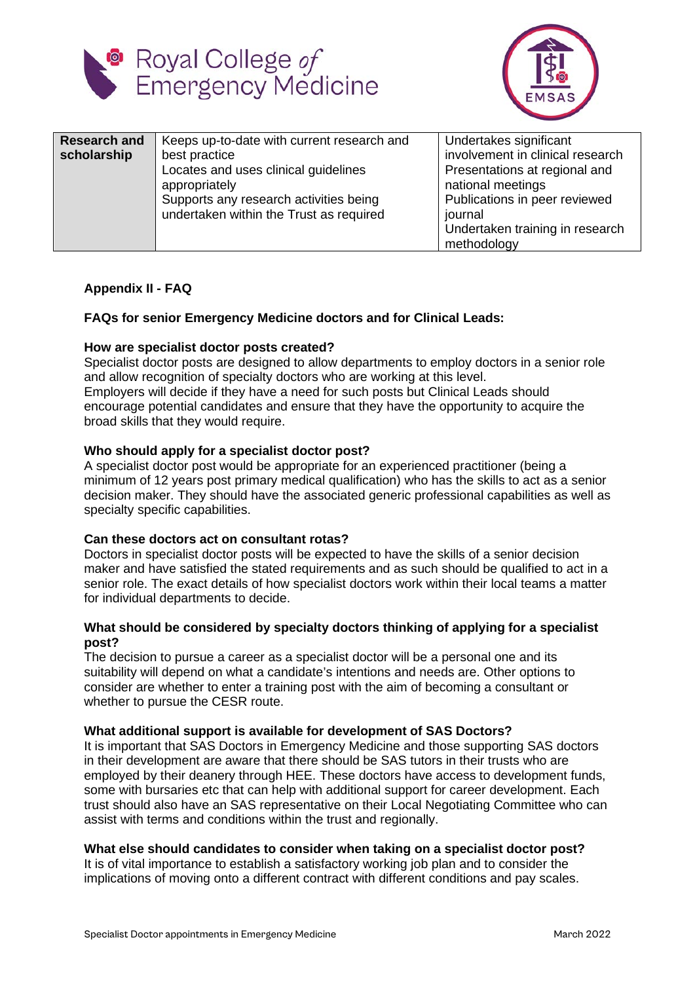



| <b>Research and</b><br>scholarship | Keeps up-to-date with current research and<br>best practice<br>Locates and uses clinical guidelines<br>appropriately<br>Supports any research activities being<br>undertaken within the Trust as required | Undertakes significant<br>involvement in clinical research<br>Presentations at regional and<br>national meetings<br>Publications in peer reviewed<br>journal<br>Undertaken training in research<br>methodology |
|------------------------------------|-----------------------------------------------------------------------------------------------------------------------------------------------------------------------------------------------------------|----------------------------------------------------------------------------------------------------------------------------------------------------------------------------------------------------------------|
|------------------------------------|-----------------------------------------------------------------------------------------------------------------------------------------------------------------------------------------------------------|----------------------------------------------------------------------------------------------------------------------------------------------------------------------------------------------------------------|

# **Appendix II - FAQ**

# **FAQs for senior Emergency Medicine doctors and for Clinical Leads:**

#### **How are specialist doctor posts created?**

Specialist doctor posts are designed to allow departments to employ doctors in a senior role and allow recognition of specialty doctors who are working at this level. Employers will decide if they have a need for such posts but Clinical Leads should encourage potential candidates and ensure that they have the opportunity to acquire the broad skills that they would require.

#### **Who should apply for a specialist doctor post?**

A specialist doctor post would be appropriate for an experienced practitioner (being a minimum of 12 years post primary medical qualification) who has the skills to act as a senior decision maker. They should have the associated generic professional capabilities as well as specialty specific capabilities.

#### **Can these doctors act on consultant rotas?**

Doctors in specialist doctor posts will be expected to have the skills of a senior decision maker and have satisfied the stated requirements and as such should be qualified to act in a senior role. The exact details of how specialist doctors work within their local teams a matter for individual departments to decide.

#### **What should be considered by specialty doctors thinking of applying for a specialist post?**

The decision to pursue a career as a specialist doctor will be a personal one and its suitability will depend on what a candidate's intentions and needs are. Other options to consider are whether to enter a training post with the aim of becoming a consultant or whether to pursue the CESR route.

#### **What additional support is available for development of SAS Doctors?**

It is important that SAS Doctors in Emergency Medicine and those supporting SAS doctors in their development are aware that there should be SAS tutors in their trusts who are employed by their deanery through HEE. These doctors have access to development funds, some with bursaries etc that can help with additional support for career development. Each trust should also have an SAS representative on their Local Negotiating Committee who can assist with terms and conditions within the trust and regionally.

#### **What else should candidates to consider when taking on a specialist doctor post?**

It is of vital importance to establish a satisfactory working job plan and to consider the implications of moving onto a different contract with different conditions and pay scales.